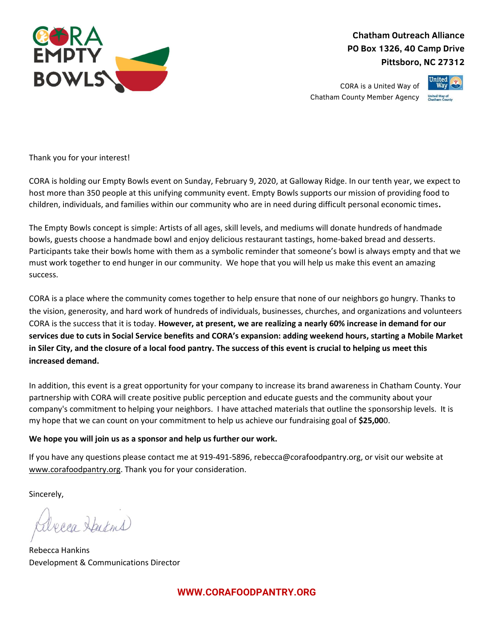

Chatham Outreach Alliance PO Box 1326, 40 Camp Drive Pittsboro, NC 27312

CORA is a United Way of Chatham County Member Agency



Thank you for your interest!

CORA is holding our Empty Bowls event on Sunday, February 9, 2020, at Galloway Ridge. In our tenth year, we expect to host more than 350 people at this unifying community event. Empty Bowls supports our mission of providing food to children, individuals, and families within our community who are in need during difficult personal economic times.

The Empty Bowls concept is simple: Artists of all ages, skill levels, and mediums will donate hundreds of handmade bowls, guests choose a handmade bowl and enjoy delicious restaurant tastings, home-baked bread and desserts. Participants take their bowls home with them as a symbolic reminder that someone's bowl is always empty and that we must work together to end hunger in our community. We hope that you will help us make this event an amazing success.

CORA is a place where the community comes together to help ensure that none of our neighbors go hungry. Thanks to the vision, generosity, and hard work of hundreds of individuals, businesses, churches, and organizations and volunteers CORA is the success that it is today. However, at present, we are realizing a nearly 60% increase in demand for our services due to cuts in Social Service benefits and CORA's expansion: adding weekend hours, starting a Mobile Market in Siler City, and the closure of a local food pantry. The success of this event is crucial to helping us meet this increased demand.

In addition, this event is a great opportunity for your company to increase its brand awareness in Chatham County. Your partnership with CORA will create positive public perception and educate guests and the community about your company's commitment to helping your neighbors. I have attached materials that outline the sponsorship levels. It is my hope that we can count on your commitment to help us achieve our fundraising goal of \$25,000.

## We hope you will join us as a sponsor and help us further our work.

If you have any questions please contact me at 919-491-5896, rebecca@corafoodpantry.org, or visit our website at www.corafoodpantry.org. Thank you for your consideration.

Sincerely,

alecca Hartins

Rebecca Hankins Development & Communications Director

WWW.CORAFOODPANTRY.ORG